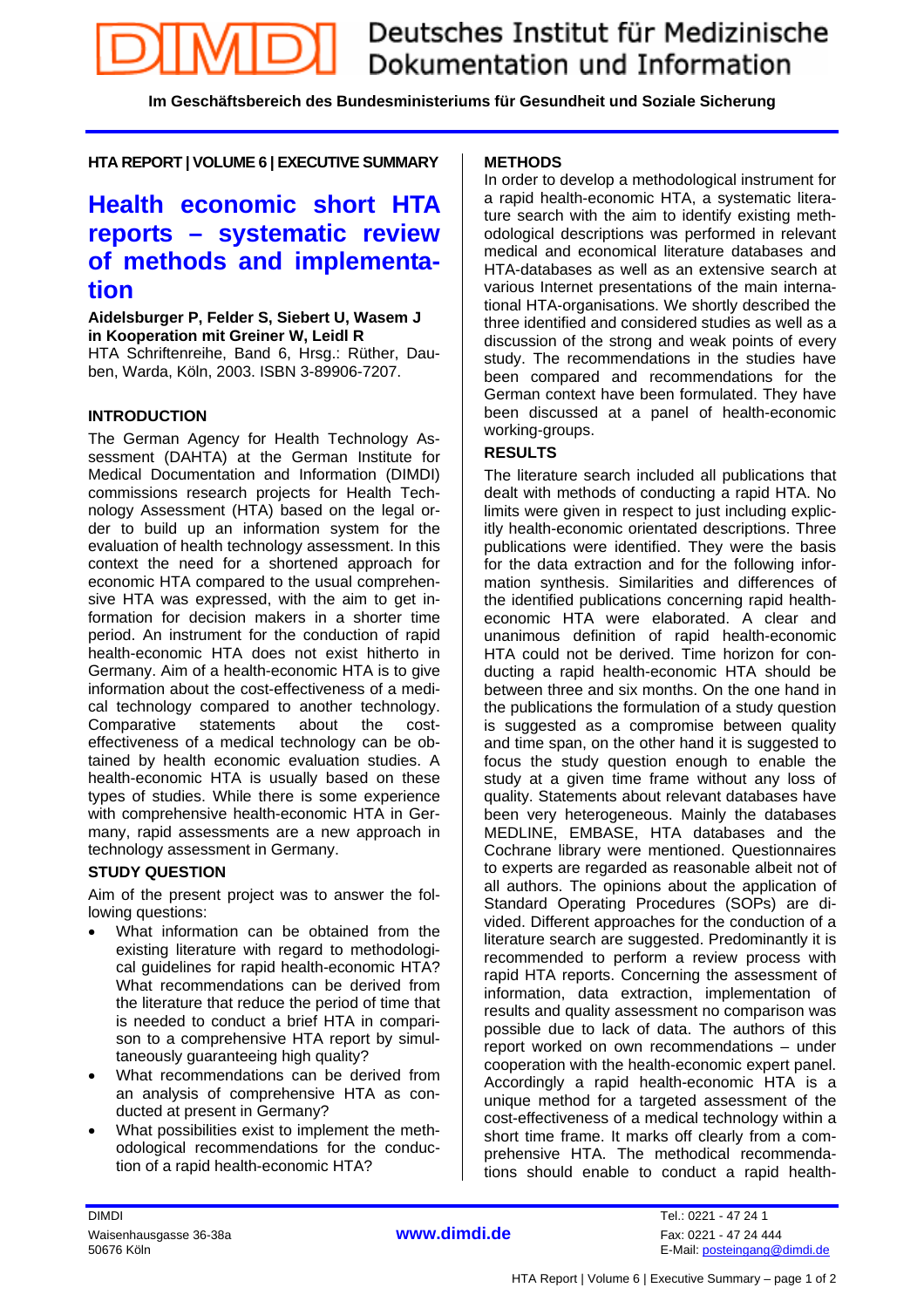**Im Geschäftsbereich des Bundesministeriums für Gesundheit und Soziale Sicherung** 

**HTA REPORT | VOLUME 6 | EXECUTIVE SUMMARY** 

## **Health economic short HTA reports – systematic review of methods and implementation**

**Aidelsburger P, Felder S, Siebert U, Wasem J in Kooperation mit Greiner W, Leidl R** HTA Schriftenreihe, Band 6, Hrsg.: Rüther, Dauben, Warda, Köln, 2003. ISBN 3-89906-7207.

#### **INTRODUCTION**

The German Agency for Health Technology Assessment (DAHTA) at the German Institute for Medical Documentation and Information (DIMDI) commissions research projects for Health Technology Assessment (HTA) based on the legal order to build up an information system for the evaluation of health technology assessment. In this context the need for a shortened approach for economic HTA compared to the usual comprehensive HTA was expressed, with the aim to get information for decision makers in a shorter time period. An instrument for the conduction of rapid health-economic HTA does not exist hitherto in Germany. Aim of a health-economic HTA is to give information about the cost-effectiveness of a medical technology compared to another technology. Comparative statements about the costeffectiveness of a medical technology can be obtained by health economic evaluation studies. A health-economic HTA is usually based on these types of studies. While there is some experience with comprehensive health-economic HTA in Germany, rapid assessments are a new approach in technology assessment in Germany.

#### **STUDY QUESTION**

Aim of the present project was to answer the following questions:

- What information can be obtained from the existing literature with regard to methodological guidelines for rapid health-economic HTA? What recommendations can be derived from the literature that reduce the period of time that is needed to conduct a brief HTA in comparison to a comprehensive HTA report by simultaneously guaranteeing high quality?
- What recommendations can be derived from an analysis of comprehensive HTA as conducted at present in Germany?
- What possibilities exist to implement the methodological recommendations for the conduction of a rapid health-economic HTA?

#### **METHODS**

In order to develop a methodological instrument for a rapid health-economic HTA, a systematic literature search with the aim to identify existing methodological descriptions was performed in relevant medical and economical literature databases and HTA-databases as well as an extensive search at various Internet presentations of the main international HTA-organisations. We shortly described the three identified and considered studies as well as a discussion of the strong and weak points of every study. The recommendations in the studies have been compared and recommendations for the German context have been formulated. They have been discussed at a panel of health-economic working-groups.

#### **RESULTS**

The literature search included all publications that dealt with methods of conducting a rapid HTA. No limits were given in respect to just including explicitly health-economic orientated descriptions. Three publications were identified. They were the basis for the data extraction and for the following information synthesis. Similarities and differences of the identified publications concerning rapid healtheconomic HTA were elaborated. A clear and unanimous definition of rapid health-economic HTA could not be derived. Time horizon for conducting a rapid health-economic HTA should be between three and six months. On the one hand in the publications the formulation of a study question is suggested as a compromise between quality and time span, on the other hand it is suggested to focus the study question enough to enable the study at a given time frame without any loss of quality. Statements about relevant databases have been very heterogeneous. Mainly the databases MEDLINE, EMBASE, HTA databases and the Cochrane library were mentioned. Questionnaires to experts are regarded as reasonable albeit not of all authors. The opinions about the application of Standard Operating Procedures (SOPs) are divided. Different approaches for the conduction of a literature search are suggested. Predominantly it is recommended to perform a review process with rapid HTA reports. Concerning the assessment of information, data extraction, implementation of results and quality assessment no comparison was possible due to lack of data. The authors of this report worked on own recommendations – under cooperation with the health-economic expert panel. Accordingly a rapid health-economic HTA is a unique method for a targeted assessment of the cost-effectiveness of a medical technology within a short time frame. It marks off clearly from a comprehensive HTA. The methodical recommendations should enable to conduct a rapid health-